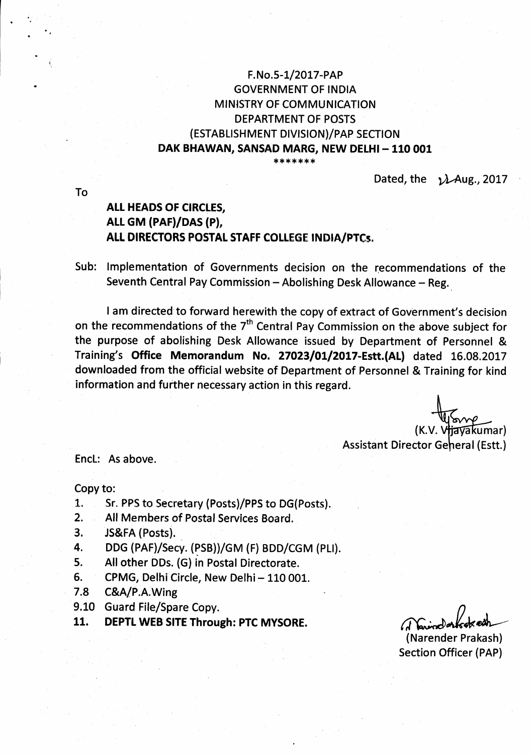## F. No.5- I/20L7-PAP GOVERNMENT OF INDIA MINISTRY OF COMMUNICATION DEPARTMENT OF POSTS (ESTABLISHMENT DIVISION)/PAP SECTION DAK BHAWAN, SANSAD MARG, NEW DELHI - 110 001

\*\*\*\*\*\*\*

Dated, the  $\lambda$ Aug., 2017

# AtL HEADS OF CIRCLES, ALL GM (PAF)/DAS (P), ALL DIRECTORS POSTAL STAFF COLLEGE INDIA/PTCs.

Sub: lmplementation of Governments decision on the recommendations of the Seventh Central Pay Commission - Abolishing Desk Allowance - Reg.

I am directed to forward herewith the copy of extract of Government's decision on the recommendations of the  $7<sup>th</sup>$  Central Pay Commission on the above subject for the purpose of abolishing Desk Allowance issued by Department of Personnel & Training's Office Memorandum No. 27023/01/2017-Estt.(AL) dated 16.08.2017 downloaded from the official website of Department of Personnel & Training for kind information and further necessary action in this regard.

tavakumar) Assistant Director Geheral (Estt.)

EncL: As above.

Copy to:

- 1. Sr. PPS to Secretary (Posts)/PPS to DG(Posts).
- 2. All Members of Postal Services Board.
- 3, JS&FA (Posts).
- 4. DDG (PAF)/Secy. (PSB))/GM (F) BDD/CGM (PLI).
- 5, All other DDs. (G) in Postal Directorate.
- 6. CPMG, Delhi Circle, New Delhi 110 001.
- 7.8 C&A/P.A.Wing
- 9.10 Guard File/Spare Copy.
- 11. DEPTL WEB SITE Through: PTC MYSORE.

(Narvindorfsoked)<br>(Narender Prakash)

Section Officer (PAP)

To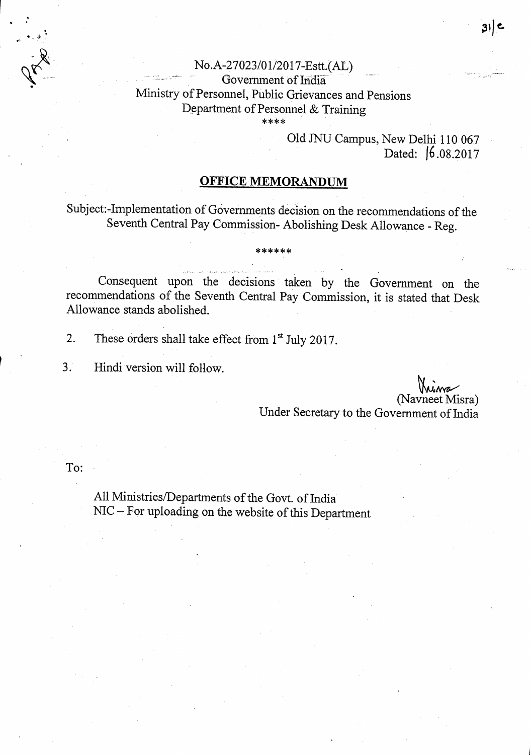### No.A-27023/01/2017-Estt.(AL) Government of India Ministry of Personnel, Public Grievances and Pensions Department of Personnel & Training \*\*\*\*

Old JNU Campus, New Delhi 110 067 Dated: 6.08.2017

## **OFFICE MEMORANDUM**

Subject:-Implementation of Governments decision on the recommendations of the Seventh Central Pay Commission- Abolishing Desk Allowance - Reg.

# Consequent upon the decisions taken by the Government on the recommendations of the Seventh Central Pay Commission, it is stated that Desk Allowance stands abolished.

These orders shall take effect from 1<sup>st</sup> July 2017. 2.

 $3.$ Hindi version will follow.

(Navneet Misra)

ع | 31

Under Secretary to the Government of India

To:

All Ministries/Departments of the Govt. of India NIC - For uploading on the website of this Department